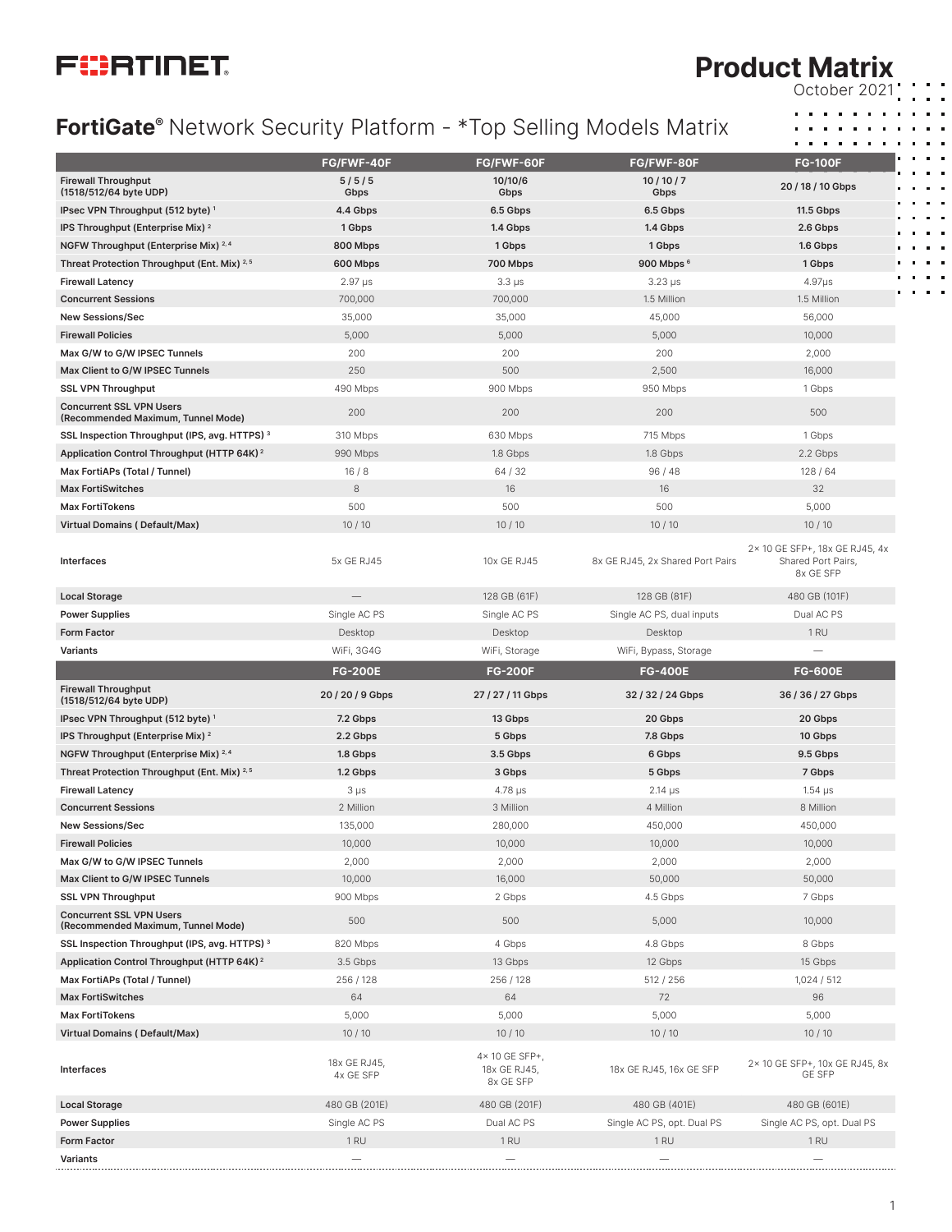

#### **Product Matrix** October 2021

## **FortiGate®** Network Security Platform - \*Top Selling Models Matrix

|                                                                                                                                                                                                                                                                                            | FG/FWF-40F                | FG/FWF-60F                                  | FG/FWF-80F                       | <b>FG-100F</b>                                                    |
|--------------------------------------------------------------------------------------------------------------------------------------------------------------------------------------------------------------------------------------------------------------------------------------------|---------------------------|---------------------------------------------|----------------------------------|-------------------------------------------------------------------|
| <b>Firewall Throughput</b><br>(1518/512/64 byte UDP)                                                                                                                                                                                                                                       | 5/5/5<br>Gbps             | 10/10/6<br>Gbps                             | 10/10/7<br>Gbps                  | 20 / 18 / 10 Gbps                                                 |
| IPsec VPN Throughput (512 byte) <sup>1</sup>                                                                                                                                                                                                                                               | 4.4 Gbps                  | 6.5 Gbps                                    | 6.5 Gbps                         | <b>11.5 Gbps</b>                                                  |
| IPS Throughput (Enterprise Mix) <sup>2</sup>                                                                                                                                                                                                                                               | 1 Gbps                    | 1.4 Gbps                                    | 1.4 Gbps                         | 2.6 Gbps                                                          |
| NGFW Throughput (Enterprise Mix) <sup>2,4</sup>                                                                                                                                                                                                                                            | 800 Mbps                  | 1 Gbps                                      | 1 Gbps                           | 1.6 Gbps                                                          |
| Threat Protection Throughput (Ent. Mix) 2,5                                                                                                                                                                                                                                                | 600 Mbps                  | 700 Mbps                                    | 900 Mbps 6                       | 1 Gbps                                                            |
| <b>Firewall Latency</b>                                                                                                                                                                                                                                                                    | $2.97 \,\mu s$            | $3.3 \mu s$                                 | $3.23 \,\mu s$                   | $4.97\mu s$                                                       |
| <b>Concurrent Sessions</b>                                                                                                                                                                                                                                                                 | 700,000                   | 700,000                                     | 1.5 Million                      | 1.5 Million                                                       |
| <b>New Sessions/Sec</b>                                                                                                                                                                                                                                                                    | 35,000                    | 35,000                                      | 45,000                           | 56,000                                                            |
| <b>Firewall Policies</b>                                                                                                                                                                                                                                                                   | 5,000                     | 5,000                                       | 5,000                            | 10,000                                                            |
| Max G/W to G/W IPSEC Tunnels                                                                                                                                                                                                                                                               | 200                       | 200                                         | 200                              | 2,000                                                             |
| Max Client to G/W IPSEC Tunnels                                                                                                                                                                                                                                                            | 250                       | 500                                         | 2,500                            | 16,000                                                            |
| <b>SSL VPN Throughput</b>                                                                                                                                                                                                                                                                  | 490 Mbps                  | 900 Mbps                                    | 950 Mbps                         | 1 Gbps                                                            |
| <b>Concurrent SSL VPN Users</b><br>(Recommended Maximum, Tunnel Mode)                                                                                                                                                                                                                      | 200                       | 200                                         | 200                              | 500                                                               |
| SSL Inspection Throughput (IPS, avg. HTTPS) 3                                                                                                                                                                                                                                              | 310 Mbps                  | 630 Mbps                                    | 715 Mbps                         | 1 Gbps                                                            |
| Application Control Throughput (HTTP 64K) <sup>2</sup>                                                                                                                                                                                                                                     | 990 Mbps                  | 1.8 Gbps                                    | 1.8 Gbps                         | 2.2 Gbps                                                          |
| Max FortiAPs (Total / Tunnel)                                                                                                                                                                                                                                                              | 16/8                      | 64/32                                       | 96/48                            | 128/64                                                            |
| <b>Max FortiSwitches</b>                                                                                                                                                                                                                                                                   | 8                         | 16                                          | 16                               | 32                                                                |
| <b>Max FortiTokens</b>                                                                                                                                                                                                                                                                     | 500                       | 500                                         | 500                              | 5,000                                                             |
| <b>Virtual Domains (Default/Max)</b>                                                                                                                                                                                                                                                       | 10/10                     | 10/10                                       | 10/10                            | 10/10                                                             |
| Interfaces                                                                                                                                                                                                                                                                                 | 5x GE RJ45                | 10x GE RJ45                                 | 8x GE RJ45, 2x Shared Port Pairs | 2× 10 GE SFP+, 18x GE RJ45, 4x<br>Shared Port Pairs,<br>8x GE SFP |
| <b>Local Storage</b>                                                                                                                                                                                                                                                                       |                           | 128 GB (61F)                                | 128 GB (81F)                     | 480 GB (101F)                                                     |
| <b>Power Supplies</b>                                                                                                                                                                                                                                                                      | Single AC PS              | Single AC PS                                | Single AC PS, dual inputs        | Dual AC PS                                                        |
| <b>Form Factor</b>                                                                                                                                                                                                                                                                         | Desktop                   | Desktop                                     | Desktop                          | 1 <sub>RU</sub>                                                   |
| Variants                                                                                                                                                                                                                                                                                   | WiFi, 3G4G                | WiFi, Storage                               | WiFi, Bypass, Storage            |                                                                   |
|                                                                                                                                                                                                                                                                                            | <b>FG-200E</b>            | <b>FG-200F</b>                              | <b>FG-400E</b>                   | <b>FG-600E</b>                                                    |
| <b>Firewall Throughput</b><br>(1518/512/64 byte UDP)                                                                                                                                                                                                                                       | 20 / 20 / 9 Gbps          | 27 / 27 / 11 Gbps                           | 32 / 32 / 24 Gbps                | 36 / 36 / 27 Gbps                                                 |
| IPsec VPN Throughput (512 byte) <sup>1</sup>                                                                                                                                                                                                                                               | 7.2 Gbps                  | 13 Gbps                                     | 20 Gbps                          | 20 Gbps                                                           |
| IPS Throughput (Enterprise Mix) <sup>2</sup>                                                                                                                                                                                                                                               | 2.2 Gbps                  | 5 Gbps                                      | 7.8 Gbps                         | 10 Gbps                                                           |
| NGFW Throughput (Enterprise Mix) 2,4                                                                                                                                                                                                                                                       | 1.8 Gbps                  | 3.5 Gbps                                    | 6 Gbps                           | 9.5 Gbps                                                          |
| Threat Protection Throughput (Ent. Mix) 2,5                                                                                                                                                                                                                                                | 1.2 Gbps                  | 3 Gbps                                      | 5 Gbps                           | 7 Gbps                                                            |
| <b>Firewall Latency</b>                                                                                                                                                                                                                                                                    | $3 \mu s$                 | $4.78 \,\mu s$                              | $2.14 \mu s$                     | 1.54 µs                                                           |
| <b>Concurrent Sessions</b>                                                                                                                                                                                                                                                                 | 2 Million                 | 3 Million                                   | 4 Million                        | 8 Million                                                         |
| <b>New Sessions/Sec</b>                                                                                                                                                                                                                                                                    | 135,000                   | 280,000                                     | 450,000                          | 450,000                                                           |
| <b>Firewall Policies</b>                                                                                                                                                                                                                                                                   | 10,000                    | 10,000                                      | 10,000                           | 10,000                                                            |
| Max G/W to G/W IPSEC Tunnels                                                                                                                                                                                                                                                               | 2,000                     | 2,000                                       | 2,000                            | 2,000                                                             |
| Max Client to G/W IPSEC Tunnels                                                                                                                                                                                                                                                            | 10,000                    |                                             |                                  |                                                                   |
|                                                                                                                                                                                                                                                                                            |                           | 16,000                                      | 50,000                           | 50,000                                                            |
|                                                                                                                                                                                                                                                                                            | 900 Mbps                  | 2 Gbps                                      | 4.5 Gbps                         | 7 Gbps                                                            |
| (Recommended Maximum, Tunnel Mode)                                                                                                                                                                                                                                                         | 500                       | 500                                         | 5,000                            | 10,000                                                            |
|                                                                                                                                                                                                                                                                                            | 820 Mbps                  | 4 Gbps                                      | 4.8 Gbps                         | 8 Gbps                                                            |
|                                                                                                                                                                                                                                                                                            | 3.5 Gbps                  | 13 Gbps                                     | 12 Gbps                          | 15 Gbps                                                           |
|                                                                                                                                                                                                                                                                                            | 256 / 128                 | 256 / 128                                   | 512 / 256                        | 1,024/512                                                         |
|                                                                                                                                                                                                                                                                                            | 64                        | 64                                          | 72                               | 96                                                                |
|                                                                                                                                                                                                                                                                                            | 5,000                     | 5,000                                       | 5,000                            | 5,000                                                             |
| <b>Max FortiTokens</b>                                                                                                                                                                                                                                                                     | 10/10                     | 10/10                                       | 10/10                            | 10/10                                                             |
| <b>SSL VPN Throughput</b><br><b>Concurrent SSL VPN Users</b><br>SSL Inspection Throughput (IPS, avg. HTTPS) 3<br>Application Control Throughput (HTTP 64K) <sup>2</sup><br>Max FortiAPs (Total / Tunnel)<br><b>Max FortiSwitches</b><br><b>Virtual Domains (Default/Max)</b><br>Interfaces | 18x GE RJ45,<br>4x GE SFP | 4× 10 GE SFP+,<br>18x GE RJ45,<br>8x GE SFP | 18x GE RJ45, 16x GE SFP          | 2× 10 GE SFP+, 10x GE RJ45, 8x<br><b>GE SFP</b>                   |
| <b>Local Storage</b>                                                                                                                                                                                                                                                                       | 480 GB (201E)             | 480 GB (201F)                               | 480 GB (401E)                    | 480 GB (601E)                                                     |
| <b>Power Supplies</b>                                                                                                                                                                                                                                                                      | Single AC PS              | Dual AC PS                                  | Single AC PS, opt. Dual PS       | Single AC PS, opt. Dual PS                                        |
| <b>Form Factor</b>                                                                                                                                                                                                                                                                         | 1 <sub>RU</sub>           | 1 <sub>RU</sub>                             | 1 <sub>RU</sub>                  | 1 <sub>RU</sub>                                                   |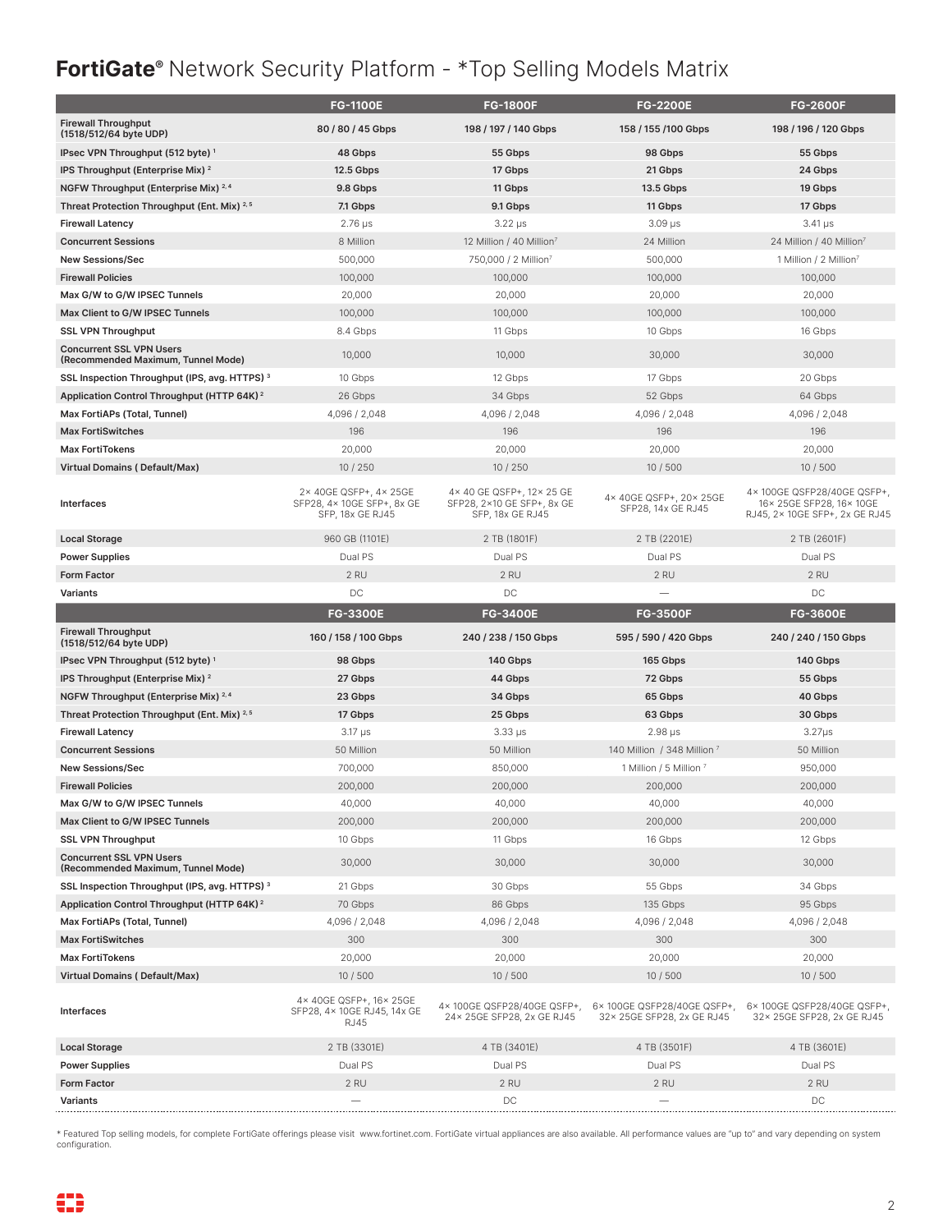# **FortiGate®** Network Security Platform - \*Top Selling Models Matrix

|                                                                       | <b>FG-1100E</b>                                                          | <b>FG-1800F</b>                                                           | <b>FG-2200E</b>                                          | <b>FG-2600F</b>                                                                           |
|-----------------------------------------------------------------------|--------------------------------------------------------------------------|---------------------------------------------------------------------------|----------------------------------------------------------|-------------------------------------------------------------------------------------------|
| <b>Firewall Throughput</b><br>(1518/512/64 byte UDP)                  | 80/80/45 Gbps                                                            | 198 / 197 / 140 Gbps                                                      | 158 / 155 / 100 Gbps                                     | 198 / 196 / 120 Gbps                                                                      |
| IPsec VPN Throughput (512 byte) <sup>1</sup>                          | 48 Gbps                                                                  | 55 Gbps                                                                   | 98 Gbps                                                  | 55 Gbps                                                                                   |
| IPS Throughput (Enterprise Mix) <sup>2</sup>                          | <b>12.5 Gbps</b>                                                         | 17 Gbps                                                                   | 21 Gbps                                                  | 24 Gbps                                                                                   |
| NGFW Throughput (Enterprise Mix) <sup>2,4</sup>                       | 9.8 Gbps                                                                 | 11 Gbps                                                                   | 13.5 Gbps                                                | 19 Gbps                                                                                   |
| Threat Protection Throughput (Ent. Mix) 2,5                           | 7.1 Gbps                                                                 | 9.1 Gbps                                                                  | 11 Gbps                                                  | 17 Gbps                                                                                   |
| <b>Firewall Latency</b>                                               | $2.76 \,\mu s$                                                           | $3.22 \mu s$                                                              | $3.09$ µs                                                | $3.41 \,\mu s$                                                                            |
| <b>Concurrent Sessions</b>                                            | 8 Million                                                                | 12 Million / 40 Million <sup>7</sup>                                      | 24 Million                                               | 24 Million / 40 Million <sup>7</sup>                                                      |
| <b>New Sessions/Sec</b>                                               | 500,000                                                                  | 750,000 / 2 Million <sup>7</sup>                                          | 500,000                                                  | 1 Million / 2 Million <sup>7</sup>                                                        |
| <b>Firewall Policies</b>                                              | 100,000                                                                  | 100,000                                                                   | 100,000                                                  | 100,000                                                                                   |
| Max G/W to G/W IPSEC Tunnels                                          | 20,000                                                                   | 20,000                                                                    | 20,000                                                   | 20,000                                                                                    |
| Max Client to G/W IPSEC Tunnels                                       | 100,000                                                                  | 100,000                                                                   | 100,000                                                  | 100,000                                                                                   |
| <b>SSL VPN Throughput</b>                                             | 8.4 Gbps                                                                 | 11 Gbps                                                                   | 10 Gbps                                                  | 16 Gbps                                                                                   |
| <b>Concurrent SSL VPN Users</b><br>(Recommended Maximum, Tunnel Mode) | 10,000                                                                   | 10,000                                                                    | 30,000                                                   | 30,000                                                                                    |
| SSL Inspection Throughput (IPS, avg. HTTPS) 3                         | 10 Gbps                                                                  | 12 Gbps                                                                   | 17 Gbps                                                  | 20 Gbps                                                                                   |
| Application Control Throughput (HTTP 64K) <sup>2</sup>                | 26 Gbps                                                                  | 34 Gbps                                                                   | 52 Gbps                                                  | 64 Gbps                                                                                   |
| Max FortiAPs (Total, Tunnel)                                          | 4,096 / 2,048                                                            | 4,096 / 2,048                                                             | 4,096 / 2,048                                            | 4,096 / 2,048                                                                             |
| <b>Max FortiSwitches</b>                                              | 196                                                                      | 196                                                                       | 196                                                      | 196                                                                                       |
| <b>Max FortiTokens</b>                                                | 20,000                                                                   | 20,000                                                                    | 20,000                                                   | 20,000                                                                                    |
| <b>Virtual Domains (Default/Max)</b>                                  | 10/250                                                                   | 10 / 250                                                                  | 10/500                                                   | 10/500                                                                                    |
| Interfaces                                                            | 2× 40GE QSFP+, 4× 25GE<br>SFP28, 4× 10GE SFP+, 8x GE<br>SFP, 18x GE RJ45 | 4×40 GE QSFP+, 12×25 GE<br>SFP28, 2×10 GE SFP+, 8x GE<br>SFP, 18x GE RJ45 | 4× 40GE QSFP+, 20× 25GE<br>SFP28, 14x GE RJ45            | 4× 100GE QSFP28/40GE QSFP+,<br>16× 25GE SFP28, 16× 10GE<br>RJ45, 2× 10GE SFP+, 2x GE RJ45 |
| <b>Local Storage</b>                                                  | 960 GB (1101E)                                                           | 2 TB (1801F)                                                              | 2 TB (2201E)                                             | 2 TB (2601F)                                                                              |
| <b>Power Supplies</b>                                                 | Dual PS                                                                  | Dual PS                                                                   | Dual PS                                                  | Dual PS                                                                                   |
| <b>Form Factor</b>                                                    | 2 RU                                                                     | 2 RU                                                                      | 2 RU                                                     | 2 RU                                                                                      |
| <b>Variants</b>                                                       | DC                                                                       | DC                                                                        |                                                          | DC                                                                                        |
|                                                                       | <b>FG-3300E</b>                                                          | <b>FG-3400E</b>                                                           | <b>FG-3500F</b>                                          | <b>FG-3600E</b>                                                                           |
|                                                                       |                                                                          |                                                                           |                                                          |                                                                                           |
| <b>Firewall Throughput</b><br>(1518/512/64 byte UDP)                  | 160 / 158 / 100 Gbps                                                     | 240 / 238 / 150 Gbps                                                      | 595 / 590 / 420 Gbps                                     | 240 / 240 / 150 Gbps                                                                      |
| IPsec VPN Throughput (512 byte) <sup>1</sup>                          | 98 Gbps                                                                  | 140 Gbps                                                                  | 165 Gbps                                                 | 140 Gbps                                                                                  |
| IPS Throughput (Enterprise Mix) $^2$                                  | 27 Gbps                                                                  | 44 Gbps                                                                   | 72 Gbps                                                  | 55 Gbps                                                                                   |
| NGFW Throughput (Enterprise Mix) 2,4                                  | 23 Gbps                                                                  | 34 Gbps                                                                   | 65 Gbps                                                  | 40 Gbps                                                                                   |
| Threat Protection Throughput (Ent. Mix) <sup>2,5</sup>                | 17 Gbps                                                                  | 25 Gbps                                                                   | 63 Gbps                                                  | 30 Gbps                                                                                   |
| <b>Firewall Latency</b>                                               | $3.17 \mu s$                                                             | $3.33 \,\mu s$                                                            | $2.98 \,\mu s$                                           | $3.27\mu s$                                                                               |
| <b>Concurrent Sessions</b>                                            | 50 Million                                                               | 50 Million                                                                | 140 Million / 348 Million 7                              | 50 Million                                                                                |
| <b>New Sessions/Sec</b>                                               | 700,000                                                                  | 850,000                                                                   | 1 Million / 5 Million 7                                  | 950,000                                                                                   |
| <b>Firewall Policies</b>                                              | 200.000                                                                  | 200,000                                                                   | 200,000                                                  | 200,000                                                                                   |
| Max G/W to G/W IPSEC Tunnels                                          | 40,000                                                                   | 40,000                                                                    | 40,000                                                   | 40,000                                                                                    |
| Max Client to G/W IPSEC Tunnels                                       | 200,000                                                                  | 200,000                                                                   | 200,000                                                  | 200,000                                                                                   |
| <b>SSL VPN Throughput</b>                                             | 10 Gbps                                                                  | 11 Gbps                                                                   | 16 Gbps                                                  | 12 Gbps                                                                                   |
| <b>Concurrent SSL VPN Users</b><br>(Recommended Maximum, Tunnel Mode) | 30,000                                                                   | 30,000                                                                    | 30,000                                                   | 30,000                                                                                    |
| SSL Inspection Throughput (IPS, avg. HTTPS) <sup>3</sup>              | 21 Gbps                                                                  | 30 Gbps                                                                   | 55 Gbps                                                  | 34 Gbps                                                                                   |
| Application Control Throughput (HTTP 64K) <sup>2</sup>                | 70 Gbps                                                                  | 86 Gbps                                                                   | 135 Gbps                                                 | 95 Gbps                                                                                   |
| Max FortiAPs (Total, Tunnel)                                          | 4,096 / 2,048                                                            | 4,096 / 2,048                                                             | 4,096 / 2,048                                            | 4,096 / 2,048                                                                             |
| <b>Max FortiSwitches</b>                                              | 300                                                                      | 300                                                                       | 300                                                      | 300                                                                                       |
| <b>Max FortiTokens</b>                                                | 20,000                                                                   | 20,000                                                                    | 20,000                                                   | 20,000                                                                                    |
| <b>Virtual Domains (Default/Max)</b>                                  | 10/500                                                                   | 10/500                                                                    | 10/500                                                   | 10/500                                                                                    |
| Interfaces                                                            | 4× 40GE QSFP+, 16× 25GE<br>SFP28, 4× 10GE RJ45, 14x GE<br><b>RJ45</b>    | 4×100GE QSFP28/40GE QSFP+,<br>24× 25GE SFP28, 2x GE RJ45                  | 6×100GE QSFP28/40GE QSFP+,<br>32× 25GE SFP28, 2x GE RJ45 | 6×100GE QSFP28/40GE QSFP+,<br>32× 25GE SFP28, 2x GE RJ45                                  |
| <b>Local Storage</b>                                                  | 2 TB (3301E)                                                             | 4 TB (3401E)                                                              | 4 TB (3501F)                                             | 4 TB (3601E)                                                                              |
| <b>Power Supplies</b>                                                 | Dual PS                                                                  | Dual PS                                                                   | Dual PS                                                  | Dual PS                                                                                   |
| <b>Form Factor</b>                                                    | 2 RU                                                                     | 2 RU                                                                      | 2 RU                                                     | 2 RU                                                                                      |

\* Featured Top selling models, for complete FortiGate offerings please visit www.fortinet.com. FortiGate virtual appliances are also available. All performance values are "up to" and vary depending on system configuration.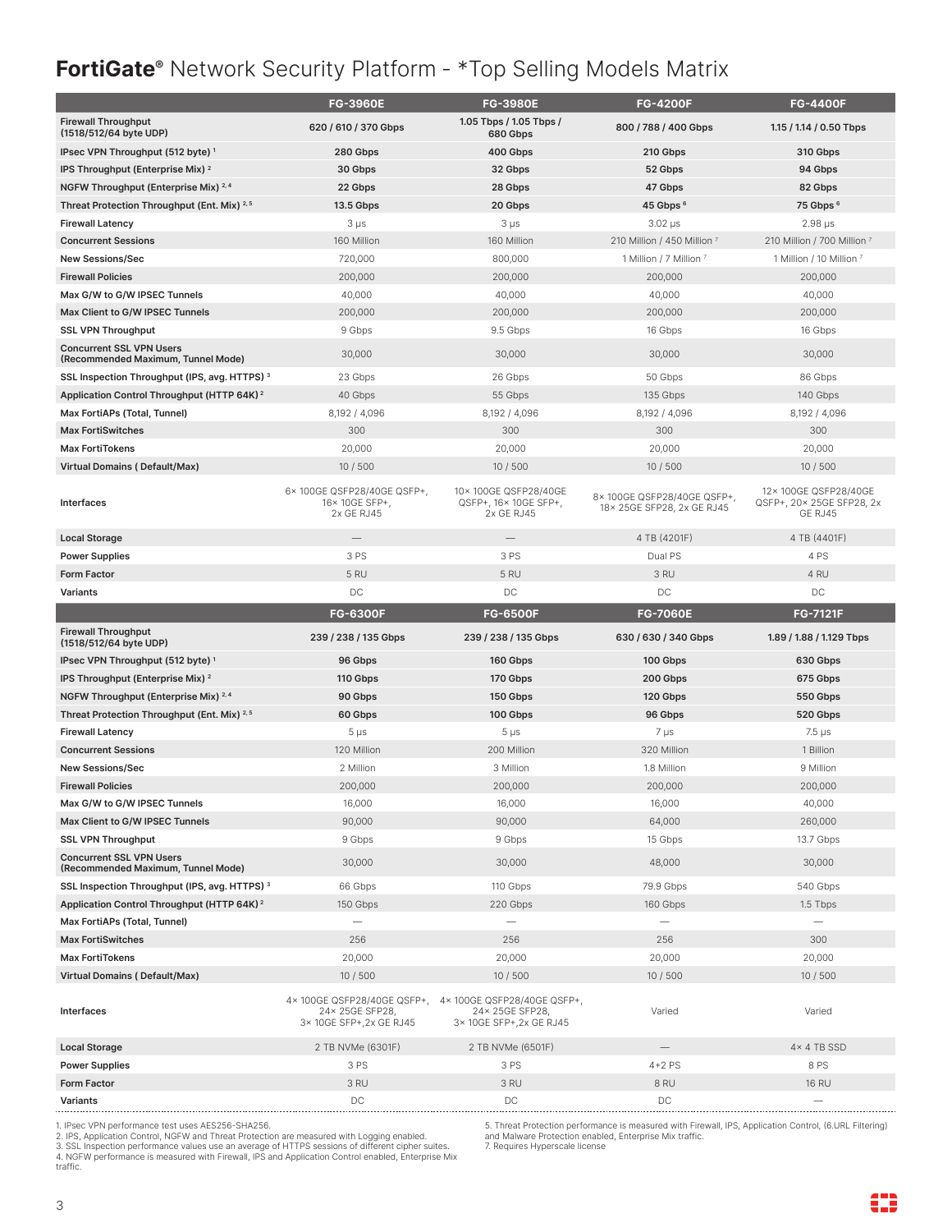### **FortiGate®** Network Security Platform - \*Top Selling Models Matrix

|                                                                       | <b>FG-3960E</b>                                                           | <b>FG-3980E</b>                                                            | <b>FG-4200F</b>                                         | <b>FG-4400F</b>                                               |
|-----------------------------------------------------------------------|---------------------------------------------------------------------------|----------------------------------------------------------------------------|---------------------------------------------------------|---------------------------------------------------------------|
| <b>Firewall Throughput</b><br>(1518/512/64 byte UDP)                  | 620 / 610 / 370 Gbps                                                      | 1.05 Tbps / 1.05 Tbps /<br>680 Gbps                                        | 800 / 788 / 400 Gbps                                    | 1.15 / 1.14 / 0.50 Tbps                                       |
| IPsec VPN Throughput (512 byte) <sup>1</sup>                          | 280 Gbps                                                                  | 400 Gbps                                                                   | 210 Gbps                                                | 310 Gbps                                                      |
| IPS Throughput (Enterprise Mix) <sup>2</sup>                          | 30 Gbps                                                                   | 32 Gbps                                                                    | 52 Gbps                                                 | 94 Gbps                                                       |
| NGFW Throughput (Enterprise Mix) 2,4                                  | 22 Gbps                                                                   | 28 Gbps                                                                    | 47 Gbps                                                 | 82 Gbps                                                       |
| Threat Protection Throughput (Ent. Mix) 2,5                           | 13.5 Gbps                                                                 | 20 Gbps                                                                    | 45 Gbps <sup>6</sup>                                    | 75 Gbps 6                                                     |
| <b>Firewall Latency</b>                                               | $3 \mu s$                                                                 | $3 \mu s$                                                                  | $3.02 \mu s$                                            | $2.98 \,\mu s$                                                |
| <b>Concurrent Sessions</b>                                            | 160 Million                                                               | 160 Million                                                                | 210 Million / 450 Million 7                             | 210 Million / 700 Million 7                                   |
| <b>New Sessions/Sec</b>                                               | 720,000                                                                   | 800,000                                                                    | 1 Million / 7 Million 7                                 | 1 Million / 10 Million 7                                      |
| <b>Firewall Policies</b>                                              | 200,000                                                                   | 200,000                                                                    | 200,000                                                 | 200,000                                                       |
| Max G/W to G/W IPSEC Tunnels                                          | 40,000                                                                    | 40,000                                                                     | 40,000                                                  | 40,000                                                        |
| Max Client to G/W IPSEC Tunnels                                       | 200,000                                                                   | 200,000                                                                    | 200,000                                                 | 200,000                                                       |
| <b>SSL VPN Throughput</b>                                             | 9 Gbps                                                                    | 9.5 Gbps                                                                   | 16 Gbps                                                 | 16 Gbps                                                       |
| <b>Concurrent SSL VPN Users</b><br>(Recommended Maximum, Tunnel Mode) | 30,000                                                                    | 30,000                                                                     | 30,000                                                  | 30,000                                                        |
| SSL Inspection Throughput (IPS, avg. HTTPS) 3                         | 23 Gbps                                                                   | 26 Gbps                                                                    | 50 Gbps                                                 | 86 Gbps                                                       |
| Application Control Throughput (HTTP 64K) <sup>2</sup>                | 40 Gbps                                                                   | 55 Gbps                                                                    | 135 Gbps                                                | 140 Gbps                                                      |
| Max FortiAPs (Total, Tunnel)                                          | 8,192 / 4,096                                                             | 8,192 / 4,096                                                              | 8,192 / 4,096                                           | 8,192 / 4,096                                                 |
| <b>Max FortiSwitches</b>                                              | 300                                                                       | 300                                                                        | 300                                                     | 300                                                           |
| <b>Max FortiTokens</b>                                                | 20,000                                                                    | 20,000                                                                     | 20,000                                                  | 20,000                                                        |
| <b>Virtual Domains (Default/Max)</b>                                  | 10/500                                                                    | 10/500                                                                     | 10 / 500                                                | 10/500                                                        |
| Interfaces                                                            | 6×100GE QSFP28/40GE QSFP+,<br>16×10GE SFP+,<br>2x GE RJ45                 | 10×100GE QSFP28/40GE<br>QSFP+, 16× 10GE SFP+,<br>2x GE RJ45                | 8×100GE QSFP28/40GE QSFP+,<br>18×25GE SFP28, 2x GE RJ45 | 12× 100GE QSFP28/40GE<br>QSFP+, 20× 25GE SFP28, 2x<br>GE RJ45 |
| <b>Local Storage</b>                                                  | $\overline{\phantom{0}}$                                                  | -                                                                          | 4 TB (4201F)                                            | 4 TB (4401F)                                                  |
| <b>Power Supplies</b>                                                 | 3 PS                                                                      | 3 PS                                                                       | Dual PS                                                 | 4 PS                                                          |
| <b>Form Factor</b>                                                    | 5 RU                                                                      | 5 RU                                                                       | 3 RU                                                    | 4RU                                                           |
| Variants                                                              | DC                                                                        | DC                                                                         | DC                                                      | DC                                                            |
|                                                                       |                                                                           |                                                                            |                                                         |                                                               |
|                                                                       | <b>FG-6300F</b>                                                           | <b>FG-6500F</b>                                                            | <b>FG-7060E</b>                                         | <b>FG-7121F</b>                                               |
| <b>Firewall Throughput</b><br>(1518/512/64 byte UDP)                  | 239 / 238 / 135 Gbps                                                      | 239 / 238 / 135 Gbps                                                       | 630 / 630 / 340 Gbps                                    | 1.89 / 1.88 / 1.129 Tbps                                      |
| IPsec VPN Throughput (512 byte) <sup>1</sup>                          | 96 Gbps                                                                   | 160 Gbps                                                                   | 100 Gbps                                                | 630 Gbps                                                      |
| IPS Throughput (Enterprise Mix) <sup>2</sup>                          | 110 Gbps                                                                  | 170 Gbps                                                                   | 200 Gbps                                                | 675 Gbps                                                      |
| NGFW Throughput (Enterprise Mix) 2.4                                  | 90 Gbps                                                                   | 150 Gbps                                                                   | 120 Gbps                                                | 550 Gbps                                                      |
| Threat Protection Throughput (Ent. Mix) <sup>2,5</sup>                | 60 Gbps                                                                   | 100 Gbps                                                                   | 96 Gbps                                                 | 520 Gbps                                                      |
| <b>Firewall Latency</b>                                               | $5 \mu s$                                                                 | $5 \mu s$                                                                  | 7 µs                                                    | $7.5 \mu s$                                                   |
| <b>Concurrent Sessions</b>                                            | 120 Million                                                               | 200 Million                                                                | 320 Million                                             | 1 Billion                                                     |
| <b>New Sessions/Sec</b>                                               | 2 Million                                                                 | 3 Million                                                                  | 1.8 Million                                             | 9 Million                                                     |
| <b>Firewall Policies</b>                                              | 200,000                                                                   | 200,000                                                                    | 200,000                                                 | 200,000                                                       |
| Max G/W to G/W IPSEC Tunnels                                          | 16,000                                                                    | 16,000                                                                     | 16,000                                                  | 40,000                                                        |
| Max Client to G/W IPSEC Tunnels                                       | 90,000                                                                    | 90,000                                                                     | 64,000                                                  | 260,000                                                       |
| <b>SSL VPN Throughput</b>                                             | 9 Gbps                                                                    | 9 Gbps                                                                     | 15 Gbps                                                 | 13.7 Gbps                                                     |
| <b>Concurrent SSL VPN Users</b><br>(Recommended Maximum, Tunnel Mode) | 30,000                                                                    | 30,000                                                                     | 48,000                                                  | 30,000                                                        |
| SSL Inspection Throughput (IPS, avg. HTTPS) <sup>3</sup>              | 66 Gbps                                                                   | 110 Gbps                                                                   | 79.9 Gbps                                               | 540 Gbps                                                      |
| Application Control Throughput (HTTP 64K) <sup>2</sup>                | 150 Gbps                                                                  | 220 Gbps                                                                   | 160 Gbps                                                | 1.5 Tbps                                                      |
| Max FortiAPs (Total, Tunnel)                                          | $\overline{\phantom{0}}$                                                  | $\overline{\phantom{0}}$                                                   | $\overline{\phantom{0}}$                                |                                                               |
| <b>Max FortiSwitches</b>                                              | 256                                                                       | 256                                                                        | 256                                                     | 300                                                           |
| <b>Max FortiTokens</b>                                                | 20,000                                                                    | 20,000                                                                     | 20,000                                                  | 20,000                                                        |
| <b>Virtual Domains (Default/Max)</b>                                  | 10 / 500                                                                  | 10 / 500                                                                   | 10 / 500                                                | 10/500                                                        |
| Interfaces                                                            | 4×100GE QSFP28/40GE QSFP+,<br>24× 25GE SFP28,<br>3× 10GE SFP+, 2x GE RJ45 | 4× 100GE QSFP28/40GE QSFP+,<br>24× 25GE SFP28,<br>3× 10GE SFP+, 2x GE RJ45 | Varied                                                  | Varied                                                        |
| <b>Local Storage</b>                                                  | 2 TB NVMe (6301F)                                                         | 2 TB NVMe (6501F)                                                          |                                                         | 4×4 TB SSD                                                    |
| <b>Power Supplies</b>                                                 | 3 PS                                                                      | 3 PS                                                                       | $4+2$ PS                                                | 8 PS                                                          |
| Form Factor                                                           | 3 RU                                                                      | 3 RU                                                                       | 8RU                                                     | <b>16 RU</b>                                                  |

1. IPsec VPN performance test uses AES256-SHA256.

2. IPS, Application Control, NGFW and Threat Protection are measured with Logging enabled.<br>3. SSL Inspection performance values use an average of HTTPS sessions of different cipher suites.<br>4. NGFW performance is measured w traffic.

5. Threat Protection performance is measured with Firewall, IPS, Application Control, (6.URL Filtering) and Malware Protection enabled, Enterprise Mix traffic. 7. Requires Hyperscale license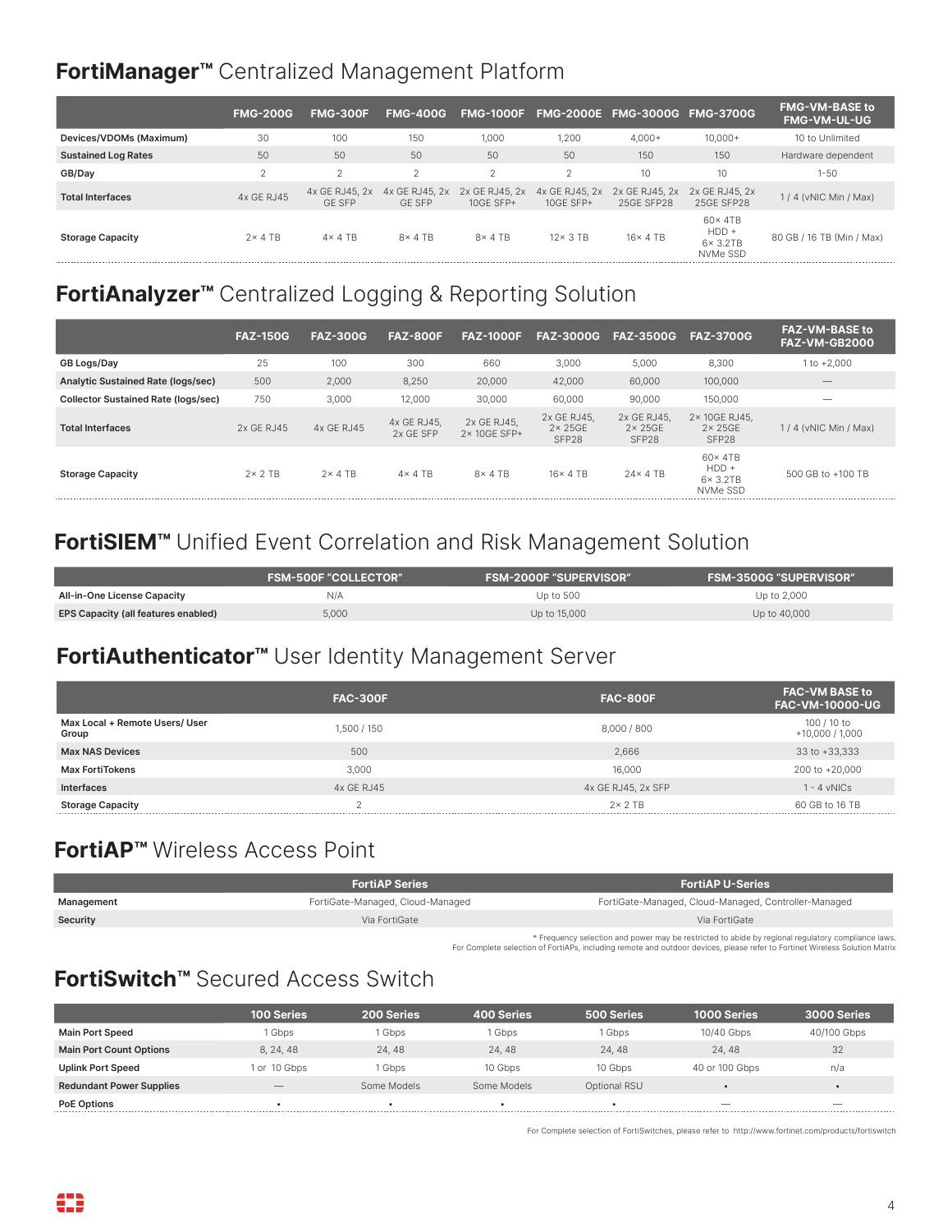### **FortiManager™** Centralized Management Platform

|                            | <b>FMG-200G</b> | <b>FMG-300F</b>                 | <b>FMG-400G</b>                 | <b>FMG-1000F</b>              |                             | FMG-2000E FMG-3000G FMG-3700G |                                                             | <b>FMG-VM-BASE to</b><br><b>FMG-VM-UL-UG</b> |
|----------------------------|-----------------|---------------------------------|---------------------------------|-------------------------------|-----------------------------|-------------------------------|-------------------------------------------------------------|----------------------------------------------|
| Devices/VDOMs (Maximum)    | 30              | 100                             | 150                             | 1.000                         | 1,200                       | $4.000+$                      | $10.000+$                                                   | 10 to Unlimited                              |
| <b>Sustained Log Rates</b> | 50              | 50                              | 50                              | 50                            | 50                          | 150                           | 150                                                         | Hardware dependent                           |
| GB/Day                     | $\Omega$<br>∠   | $\overline{2}$                  | 2                               | $\sim$                        | $\mathfrak{D}$              | 10                            | 10                                                          | $1 - 50$                                     |
| <b>Total Interfaces</b>    | 4x GE RJ45      | 4x GE RJ45, 2x<br><b>GE SFP</b> | 4x GE RJ45, 2x<br><b>GF SFP</b> | 2x GE RJ45, 2x<br>$10GF$ SFP+ | 4x GE RJ45, 2x<br>10GE SFP+ | 2x GE RJ45, 2x<br>25GE SFP28  | 2x GE RJ45, 2x<br>25GE SFP28                                | $1/4$ (vNIC Min / Max)                       |
| <b>Storage Capacity</b>    | $2\times$ 4 TB  | $4 \times 4$ TB                 | $8 \times 4$ TB                 | $8 \times 4$ TB               | $12 \times 3$ TB            | $16 \times 4$ TB              | $60 \times 4TB$<br>$HDD +$<br>$6 \times 3.2$ TB<br>NVMe SSD | 80 GB / 16 TB (Min / Max)                    |

### **FortiAnalyzer™** Centralized Logging & Reporting Solution

|                                            | <b>FAZ-150G</b> | <b>FAZ-300G</b> | <b>FAZ-800F</b>          | <b>FAZ-1000F</b>           | <b>FAZ-3000G</b>                         | <b>FAZ-3500G</b>                        | <b>FAZ-3700G</b>                                            | <b>FAZ-VM-BASE to</b><br><b>FAZ-VM-GB2000</b> |
|--------------------------------------------|-----------------|-----------------|--------------------------|----------------------------|------------------------------------------|-----------------------------------------|-------------------------------------------------------------|-----------------------------------------------|
| GB Logs/Day                                | 25              | 100             | 300                      | 660                        | 3.000                                    | 5,000                                   | 8,300                                                       | $1 to +2.000$                                 |
| <b>Analytic Sustained Rate (logs/sec)</b>  | 500             | 2,000           | 8,250                    | 20,000                     | 42,000                                   | 60,000                                  | 100,000                                                     | $\overline{\phantom{a}}$                      |
| <b>Collector Sustained Rate (logs/sec)</b> | 750             | 3,000           | 12,000                   | 30,000                     | 60,000                                   | 90,000                                  | 150,000                                                     | $\overline{\phantom{a}}$                      |
| <b>Total Interfaces</b>                    | 2x GE RJ45      | 4x GE RJ45      | 4x GE RJ45.<br>2x GE SFP | 2x GE RJ45.<br>2×10GF SFP+ | 2x GE RJ45,<br>$2 \times 25$ GE<br>SFP28 | 2x GE RJ45,<br>$2 \times 25GE$<br>SFP28 | 2× 10GE RJ45,<br>$2 \times 25$ GE<br>SFP28                  | $1/4$ (vNIC Min / Max)                        |
| <b>Storage Capacity</b>                    | $2 \times 2$ TB | $2\times$ 4 TB  | $4 \times 4$ TB          | $8 \times 4$ TB            | $16 \times 4$ TB                         | $24 \times 4$ TB                        | $60 \times 4TB$<br>$HDD +$<br>$6 \times 3.2$ TB<br>NVMe SSD | 500 GB to +100 TB                             |

### **FortiSIEM™** Unified Event Correlation and Risk Management Solution

|                                            | <b>FSM-500F "COLLECTOR"</b> | <b>FSM-2000F "SUPERVISOR"</b> | <b>FSM-3500G "SUPERVISOR"</b> |
|--------------------------------------------|-----------------------------|-------------------------------|-------------------------------|
| All-in-One License Capacity                | N/A                         | Up to 500                     | Up to 2,000                   |
| <b>EPS Capacity (all features enabled)</b> | 5.000                       | Up to 15,000                  | Up to 40,000                  |

#### **FortiAuthenticator™** User Identity Management Server

|                                         | <b>FAC-300F</b> | <b>FAC-800F</b>    | <b>FAC-VM BASE to</b><br><b>FAC-VM-10000-UG</b> |
|-----------------------------------------|-----------------|--------------------|-------------------------------------------------|
| Max Local + Remote Users/ User<br>Group | 1,500 / 150     | 8,000 / 800        | 100 / 10 to<br>$+10,000/1,000$                  |
| <b>Max NAS Devices</b>                  | 500             | 2,666              | 33 to +33,333                                   |
| <b>Max FortiTokens</b>                  | 3.000           | 16,000             | 200 to +20,000                                  |
| <b>Interfaces</b>                       | 4x GE RJ45      | 4x GE RJ45, 2x SFP | $1 - 4$ vNICs                                   |
| <b>Storage Capacity</b>                 |                 | $2 \times 2$ TR    | 60 GB to 16 TB                                  |

#### **FortiAP™** Wireless Access Point

|            | <b>FortiAP Series</b>            | <b>FortiAP U-Series</b>                                                                           |
|------------|----------------------------------|---------------------------------------------------------------------------------------------------|
| Management | FortiGate-Managed, Cloud-Managed | FortiGate-Managed, Cloud-Managed, Controller-Managed                                              |
| Security   | Via FortiGate                    | Via FortiGate                                                                                     |
|            |                                  | * Frequency selection and nower may be restricted to abide by regional requisitory compliance law |

\* Frequency selection and power may be restricted to abide by regional regulatory compliance laws. For Complete selection of FortiAPs, including remote and outdoor devices, please refer to Fortinet Wireless Solution Matrix

### **FortiSwitch™** Secured Access Switch

|                                 | <b>100 Series</b> | 200 Series  | <b>400 Series</b> | 500 Series   | <b>1000 Series</b>       | 3000 Series              |
|---------------------------------|-------------------|-------------|-------------------|--------------|--------------------------|--------------------------|
| <b>Main Port Speed</b>          | Gbps              | Gbps        | l Gbps            | l Gbps       | 10/40 Gbps               | 40/100 Gbps              |
| <b>Main Port Count Options</b>  | 8.24.48           | 24, 48      | 24.48             | 24.48        | 24.48                    | 32                       |
| <b>Uplink Port Speed</b>        | 1 or 10 Gbps      | Gbps        | 10 Gbps           | 10 Gbps      | 40 or 100 Gbps           | n/a                      |
| <b>Redundant Power Supplies</b> | __                | Some Models | Some Models       | Optional RSU |                          |                          |
| <b>PoE Options</b>              |                   |             |                   |              | $\overline{\phantom{a}}$ | $\overline{\phantom{a}}$ |

For Complete selection of FortiSwitches, please refer to http://www.fortinet.com/products/fortiswitch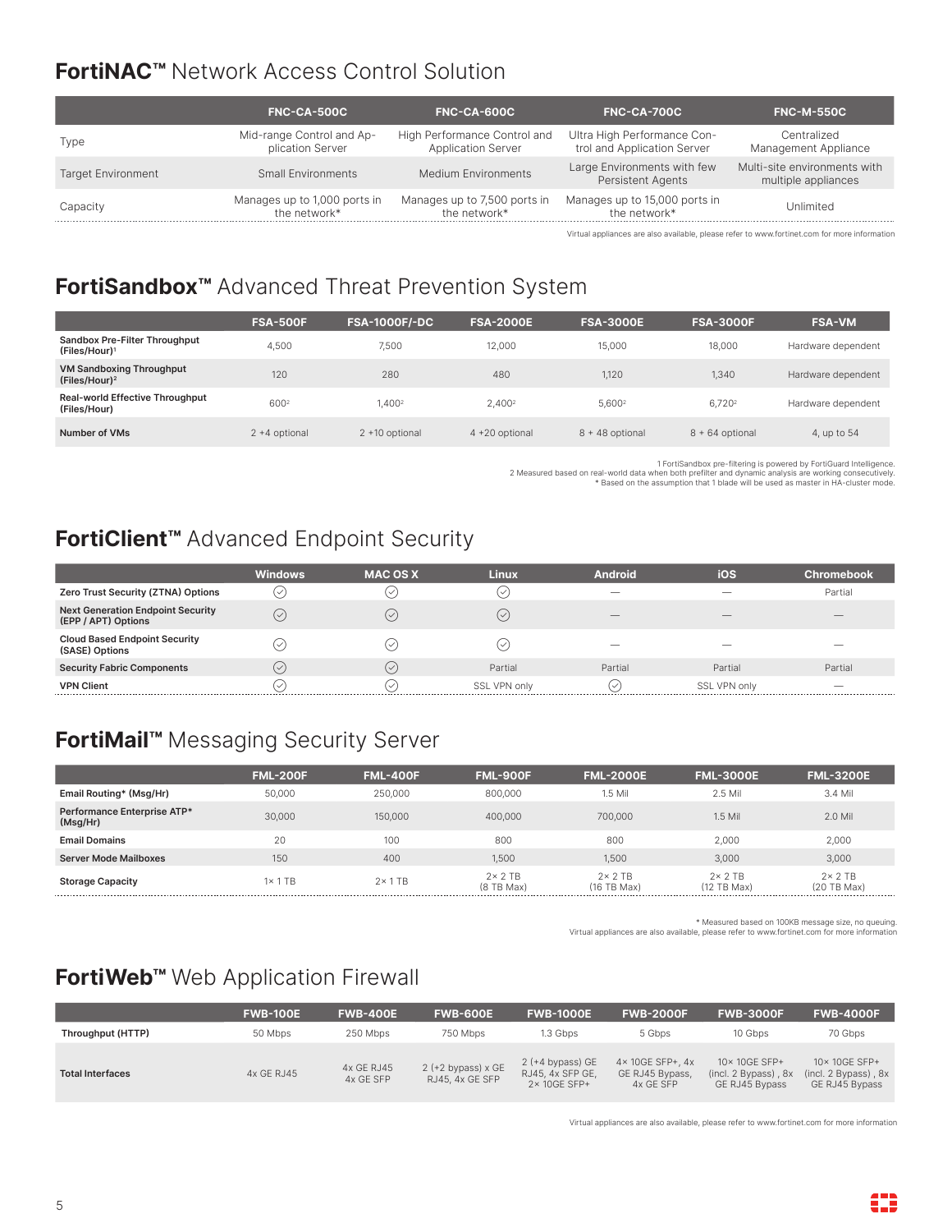### **FortiNAC™** Network Access Control Solution

|                           | <b>FNC-CA-500C</b>                            | <b>FNC-CA-600C</b>                                        | <b>FNC-CA-700C</b>                                         | <b>FNC-M-550C</b>                                   |
|---------------------------|-----------------------------------------------|-----------------------------------------------------------|------------------------------------------------------------|-----------------------------------------------------|
| Type                      | Mid-range Control and Ap-<br>plication Server | High Performance Control and<br><b>Application Server</b> | Ultra High Performance Con-<br>trol and Application Server | Centralized<br>Management Appliance                 |
| <b>Target Environment</b> | Small Environments                            | Medium Environments                                       | Large Environments with few<br><b>Persistent Agents</b>    | Multi-site environments with<br>multiple appliances |
| Capacity                  | Manages up to 1,000 ports in<br>the network*  | Manages up to 7,500 ports in<br>the network*              | Manages up to 15,000 ports in<br>the network*              | Jnlimited                                           |

Virtual appliances are also available, please refer to www.fortinet.com for more information

### **FortiSandbox™** Advanced Threat Prevention System

|                                                              | <b>FSA-500F</b>  | <b>FSA-1000F/-DC</b> | <b>FSA-2000E</b>   | <b>FSA-3000E</b> | <b>FSA-3000F</b>   | <b>FSA-VM</b>      |
|--------------------------------------------------------------|------------------|----------------------|--------------------|------------------|--------------------|--------------------|
| Sandbox Pre-Filter Throughput<br>(Files/Hour) <sup>1</sup>   | 4,500            | 7.500                | 12.000             | 15,000           | 18,000             | Hardware dependent |
| <b>VM Sandboxing Throughput</b><br>(Files/Hour) <sup>2</sup> | 120              | 280                  | 480                | 1,120            | 1.340              | Hardware dependent |
| <b>Real-world Effective Throughput</b><br>(Files/Hour)       | 6002             | 1.4002               | 2.400 <sup>2</sup> | 5.6002           | 6.720 <sup>2</sup> | Hardware dependent |
| Number of VMs                                                | $2 + 4$ optional | 2 +10 optional       | 4 +20 optional     | 8 + 48 optional  | $8 + 64$ optional  | 4, up to 54        |

.1 FortiSandbox pre-filtering is powered by FortiGuard Intelligence<br>2 Measured based on real-world data when both prefilter and dynamic analysis are working consecutively -<br>8 Neased on the assumption that 1 blade will be u

#### **FortiClient™** Advanced Endpoint Security

|                                                                 | <b>Windows</b>            | <b>MAC OS X</b>    | <b>Linux</b> | <b>Android</b>           | ios                      | Chromebook               |
|-----------------------------------------------------------------|---------------------------|--------------------|--------------|--------------------------|--------------------------|--------------------------|
| Zero Trust Security (ZTNA) Options                              | $(\mathord{\smallsmile})$ |                    |              | $\overline{\phantom{a}}$ |                          | Partial                  |
| <b>Next Generation Endpoint Security</b><br>(EPP / APT) Options | $(\vee)$                  | .∽.                | $(\vee)$     | $-$                      | $-$                      | $-$                      |
| <b>Cloud Based Endpoint Security</b><br>(SASE) Options          |                           |                    |              | $\overline{\phantom{a}}$ | $\overline{\phantom{a}}$ | $-$                      |
| <b>Security Fabric Components</b>                               | $(\vee)$                  | $\sim$             | Partial      | Partial                  | Partial                  | Partial                  |
| <b>VPN Client</b>                                               | $\checkmark$              | $\rightsquigarrow$ | SSL VPN only | ィン                       | SSL VPN only             | $\overline{\phantom{a}}$ |

### **FortiMail™** Messaging Security Server

|                                         | <b>FML-200F</b> | <b>FML-400F</b> | <b>FML-900F</b>                    | <b>FML-2000E</b>               | <b>FML-3000E</b>                  | <b>FML-3200E</b>                  |
|-----------------------------------------|-----------------|-----------------|------------------------------------|--------------------------------|-----------------------------------|-----------------------------------|
| Email Routing* (Msg/Hr)                 | 50,000          | 250,000         | 800,000                            | $1.5$ Mil                      | 2.5 Mil                           | 3.4 Mil                           |
| Performance Enterprise ATP*<br>(Msg/Hr) | 30,000          | 150,000         | 400,000                            | 700,000                        | $1.5$ Mil                         | 2.0 Mil                           |
| <b>Email Domains</b>                    | 20              | 100             | 800                                | 800                            | 2,000                             | 2,000                             |
| <b>Server Mode Mailboxes</b>            | 150             | 400             | 1,500                              | 1,500                          | 3,000                             | 3,000                             |
| <b>Storage Capacity</b>                 | $1 \times 1$ TB | $2 \times 1$ TB | $2 \times 2$ TB<br>$(8$ TB Max $)$ | $2 \times 2$ TB<br>(16 TB Max) | $2 \times 2$ TB<br>$(12)$ TB Max) | $2 \times 2$ TB<br>$(20)$ TB Max) |

\* Measured based on 100KB message size, no queuing. Virtual appliances are also available, please refer to www.fortinet.com for more information

### **FortiWeb™** Web Application Firewall

|                         | <b>FWB-100E</b> | <b>FWB-400E</b>         | <b>FWB-600E</b>                         | <b>FWB-1000E</b>                                       | <b>FWB-2000F</b>                                            | <b>FWB-3000F</b>                                            | <b>FWB-4000F</b>                                       |
|-------------------------|-----------------|-------------------------|-----------------------------------------|--------------------------------------------------------|-------------------------------------------------------------|-------------------------------------------------------------|--------------------------------------------------------|
| Throughput (HTTP)       | 50 Mbps         | 250 Mbps                | 750 Mbps                                | 1.3 Gbps                                               | 5 Gbps                                                      | 10 Gbps                                                     | 70 Gbps                                                |
| <b>Total Interfaces</b> | 4x GE RJ45      | 4x GE RJ45<br>4x GE SFP | $2$ (+2 bypass) x GE<br>RJ45, 4x GE SFP | $2 (+4$ bypass) GE<br>RJ45, 4x SFP GE,<br>2× 10GE SFP+ | $4 \times 10$ GE SFP+, $4x$<br>GE RJ45 Bypass,<br>4x GE SFP | 10×10GE SFP+<br>$(incl. 2 Bypass)$ , $8x$<br>GE RJ45 Bypass | 10×10GE SFP+<br>(incl. 2 Bypass), 8x<br>GE RJ45 Bypass |

Virtual appliances are also available, please refer to www.fortinet.com for more information